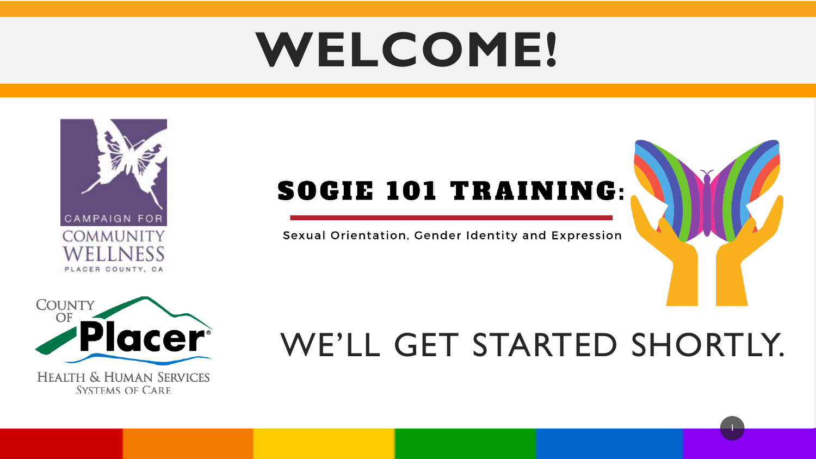# **WELCOME!**



#### **SOGIE 101 TRAINING:**

#### Sexual Orientation, Gender Identity and Expression



#### WE'LL GET STARTED SHORTLY.

1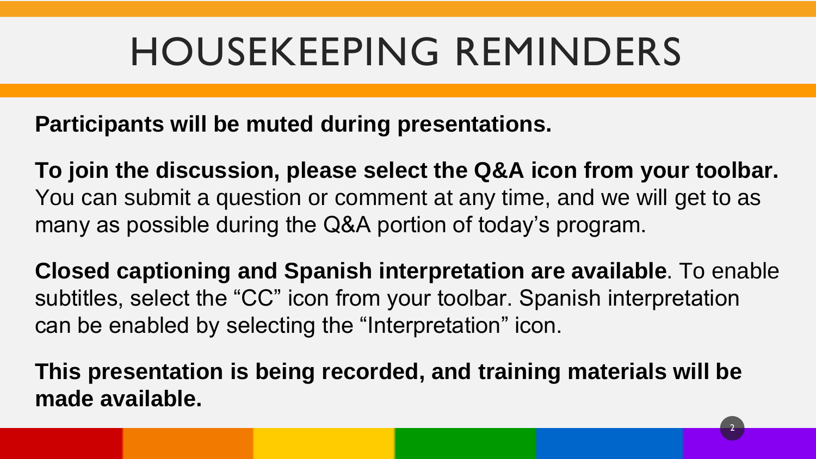#### HOUSEKEEPING REMINDERS

**Participants will be muted during presentations.** 

**To join the discussion, please select the Q&A icon from your toolbar.** You can submit a question or comment at any time, and we will get to as many as possible during the Q&A portion of today's program.

**Closed captioning and Spanish interpretation are available**. To enable subtitles, select the "CC" icon from your toolbar. Spanish interpretation can be enabled by selecting the "Interpretation" icon.

2

**This presentation is being recorded, and training materials will be made available.**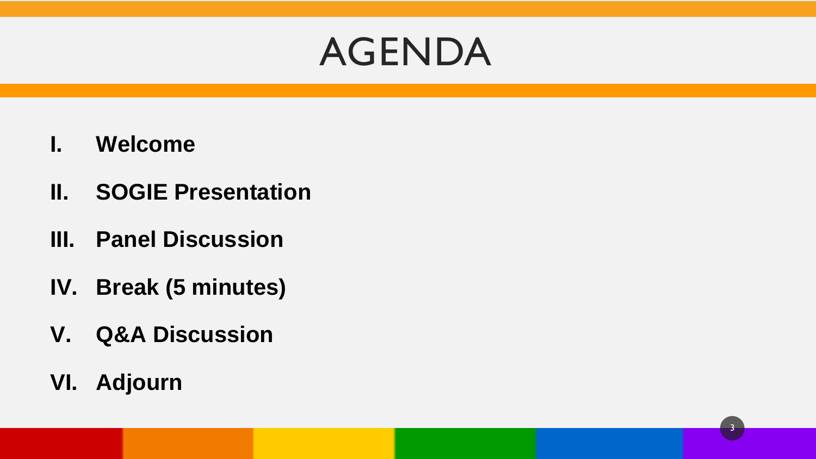#### AGENDA

3

- **I. Welcome**
- **II. SOGIE Presentation**
- **III. Panel Discussion**
- **IV. Break (5 minutes)**
- **V. Q&A Discussion**
- **VI. Adjourn**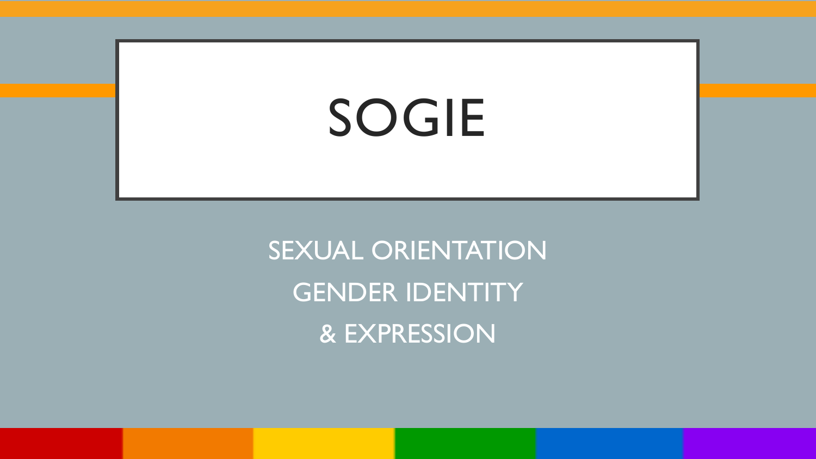# SOGIE

SEXUAL ORIENTATION GENDER IDENTITY & EXPRESSION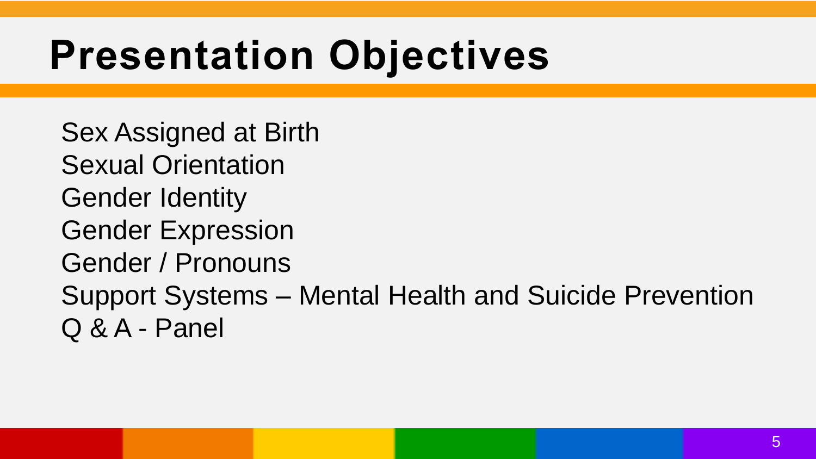#### **Presentation Objectives**

Sex Assigned at Birth Sexual Orientation Gender Identity Gender Expression Gender / Pronouns Support Systems – Mental Health and Suicide Prevention Q & A - Panel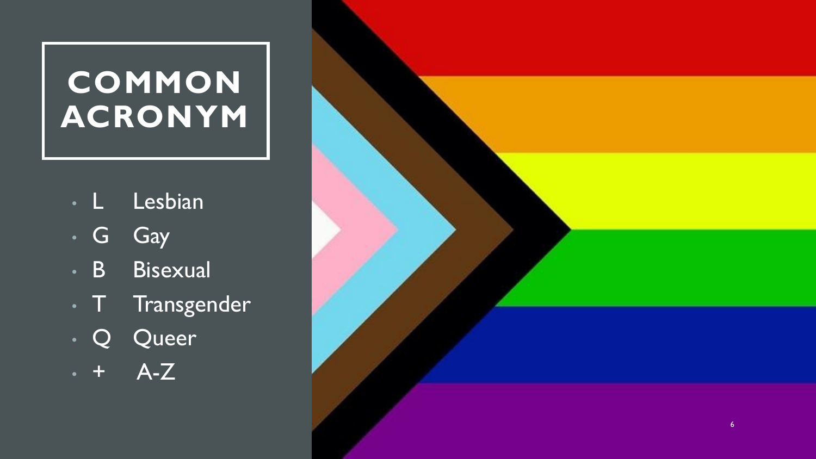#### **COMMON ACRONYM**

- L Lesbian
- G Gay
- B Bisexual
- **T** Transgender
- Q Queer
- $+$   $A-Z$

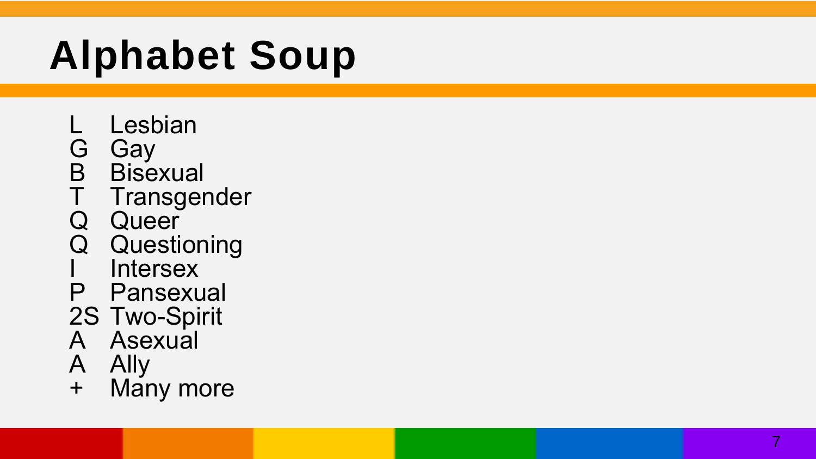## **Alphabet Soup**

- 
- 
- 
- L Lesbian<br>
G Gay<br>
B Bisexual<br>
T Transgender<br>
Q Questioning<br>
I Intersex<br>
P Pansexual<br>
2S Two-Spirit<br>
A Asexual<br>
A Ally<br>
+ Many more
- 
- 
- 
- 
- 
- 
- 
-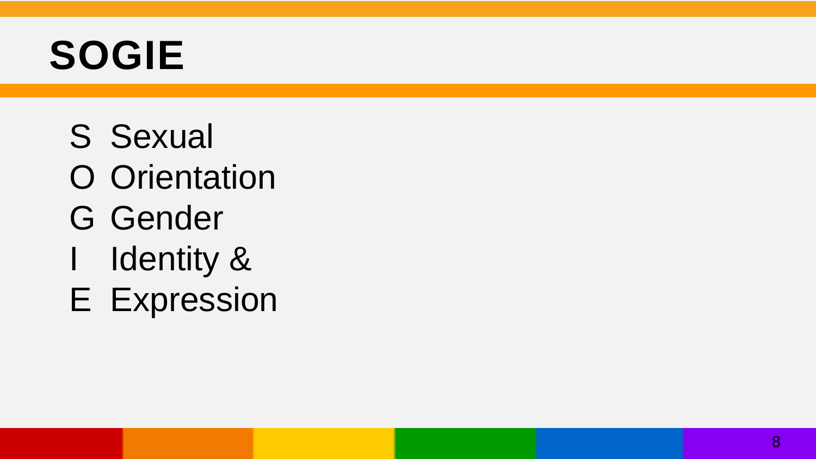#### **SOGIE**

- S Sexual O Orientation G Gender I Identity &
- E Expression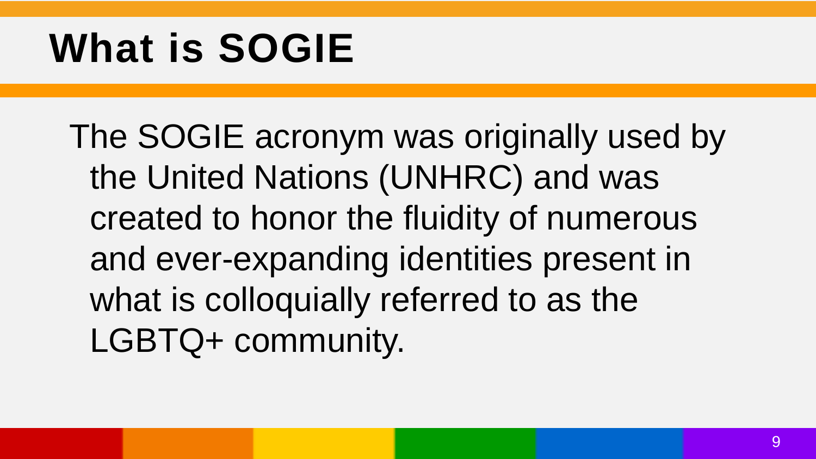#### **What is SOGIE**

The SOGIE acronym was originally used by the United Nations (UNHRC) and was created to honor the fluidity of numerous and ever-expanding identities present in what is colloquially referred to as the LGBTQ+ community.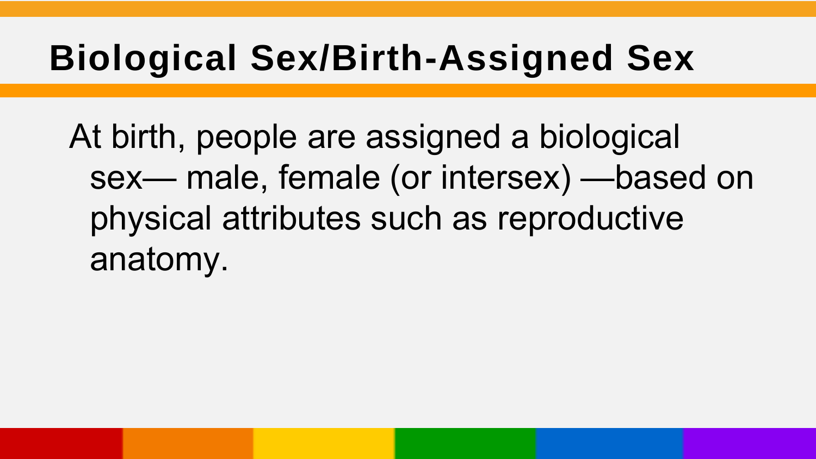#### **Biological Sex/Birth-Assigned Sex**

At birth, people are assigned a biological sex— male, female (or intersex) —based on physical attributes such as reproductive anatomy.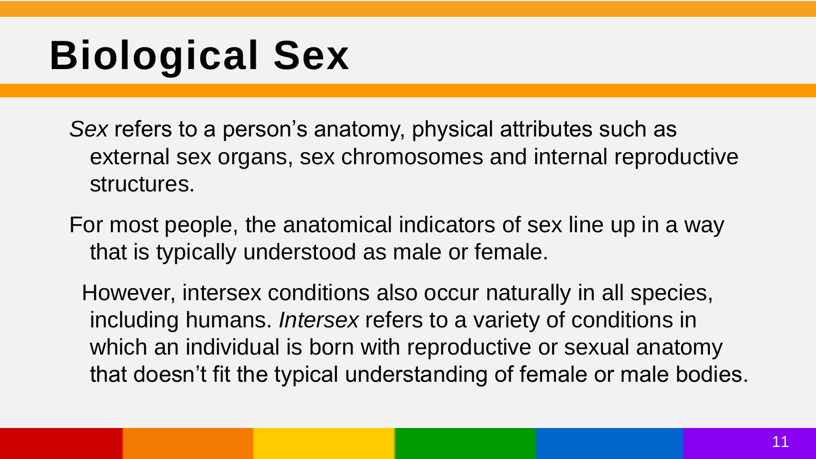## **Biological Sex**

*Sex* refers to a person's anatomy, physical attributes such as external sex organs, sex chromosomes and internal reproductive structures.

For most people, the anatomical indicators of sex line up in a way that is typically understood as male or female.

However, intersex conditions also occur naturally in all species, including humans. *Intersex* refers to a variety of conditions in which an individual is born with reproductive or sexual anatomy that doesn't fit the typical understanding of female or male bodies.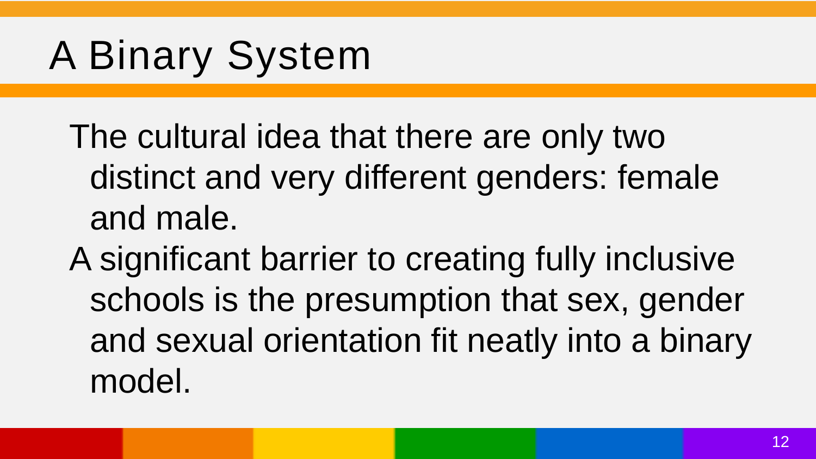### A Binary System

The cultural idea that there are only two distinct and very different genders: female and male.

A significant barrier to creating fully inclusive schools is the presumption that sex, gender and sexual orientation fit neatly into a binary model.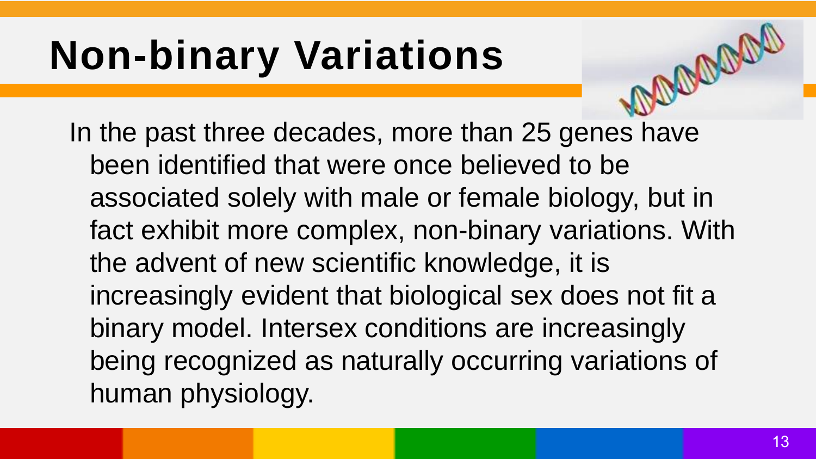## **Non-binary Variations**

In the past three decades, more than 25 genes have been identified that were once believed to be associated solely with male or female biology, but in fact exhibit more complex, non-binary variations. With the advent of new scientific knowledge, it is increasingly evident that biological sex does not fit a binary model. Intersex conditions are increasingly being recognized as naturally occurring variations of human physiology.

mooran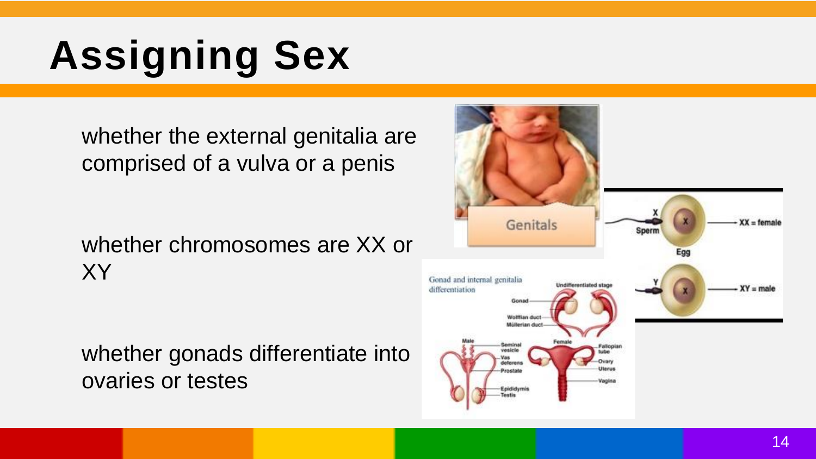# **Assigning Sex**

whether the external genitalia are comprised of a vulva or a penis

whether chromosomes are XX or XY

whether gonads differentiate into ovaries or testes

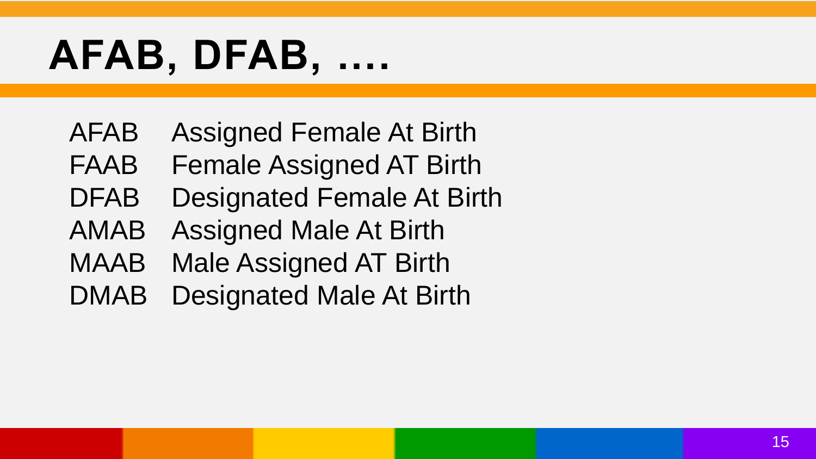## **AFAB, DFAB, ….**

- AFAB Assigned Female At Birth
- FAAB Female Assigned AT Birth
- DFAB Designated Female At Birth
- AMAB Assigned Male At Birth
- MAAB Male Assigned AT Birth
- DMAB Designated Male At Birth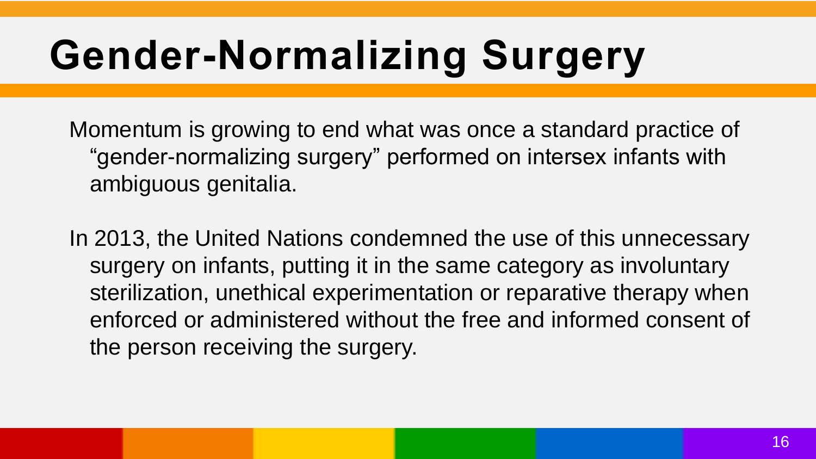## **Gender-Normalizing Surgery**

Momentum is growing to end what was once a standard practice of "gender-normalizing surgery" performed on intersex infants with ambiguous genitalia.

In 2013, the United Nations condemned the use of this unnecessary surgery on infants, putting it in the same category as involuntary sterilization, unethical experimentation or reparative therapy when enforced or administered without the free and informed consent of the person receiving the surgery.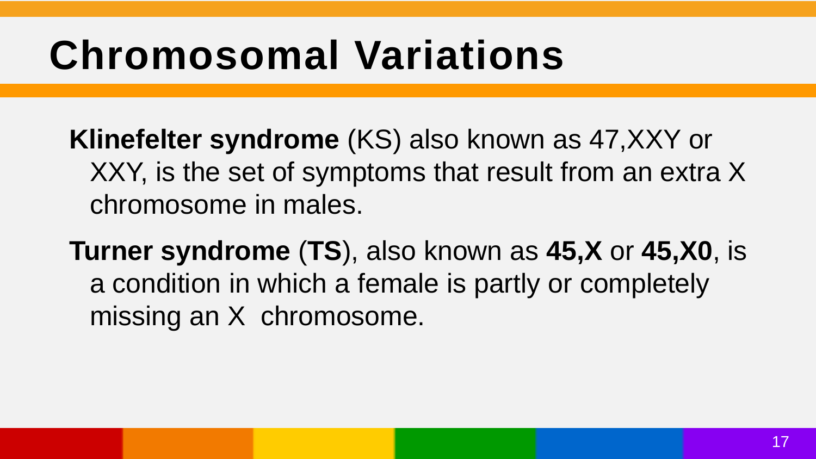#### **Chromosomal Variations**

**Klinefelter syndrome** (KS) also known as 47,XXY or XXY, is the set of symptoms that result from an extra X chromosome in males.

**Turner syndrome** (**TS**), also known as **45,X** or **45,X0**, is a condition in which a female is partly or completely missing an X chromosome.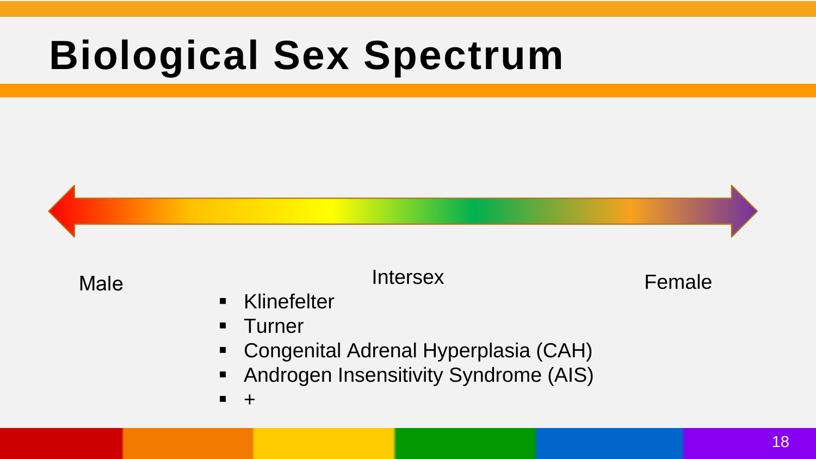#### **Biological Sex Spectrum**



Male **Intersex Intersex Female** 

- **E** Klinefelter
- **Turner**
- Congenital Adrenal Hyperplasia (CAH)
- **Androgen Insensitivity Syndrome (AIS)**
- +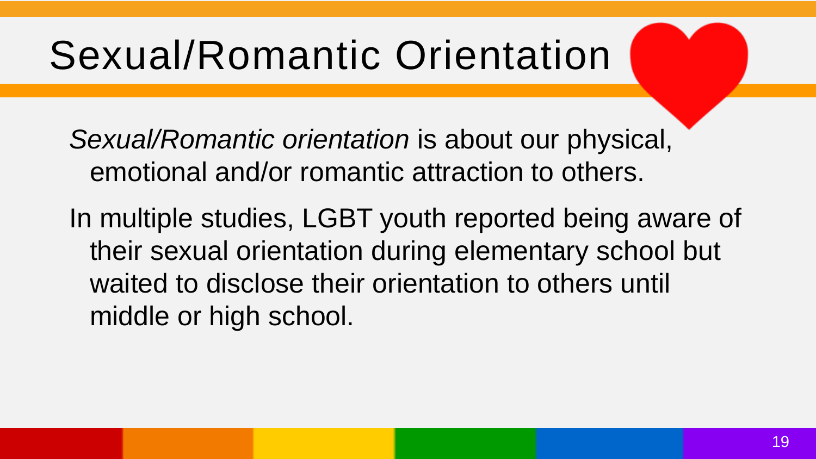#### Sexual/Romantic Orientation

*Sexual/Romantic orientation* is about our physical, emotional and/or romantic attraction to others.

In multiple studies, LGBT youth reported being aware of their sexual orientation during elementary school but waited to disclose their orientation to others until middle or high school.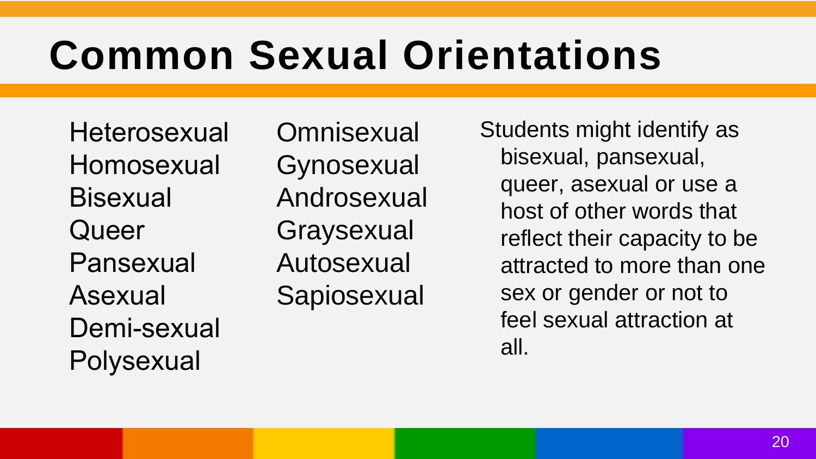#### **Common Sexual Orientations**

**Heterosexual** Homosexual **Bisexual Queer** Pansexual Asexual Demi-sexual **Polysexual** 

**Omnisexual Gynosexual** Androsexual **Graysexual** Autosexual **Sapiosexual** 

Students might identify as bisexual, pansexual, queer, asexual or use a host of other words that reflect their capacity to be attracted to more than one sex or gender or not to feel sexual attraction at all.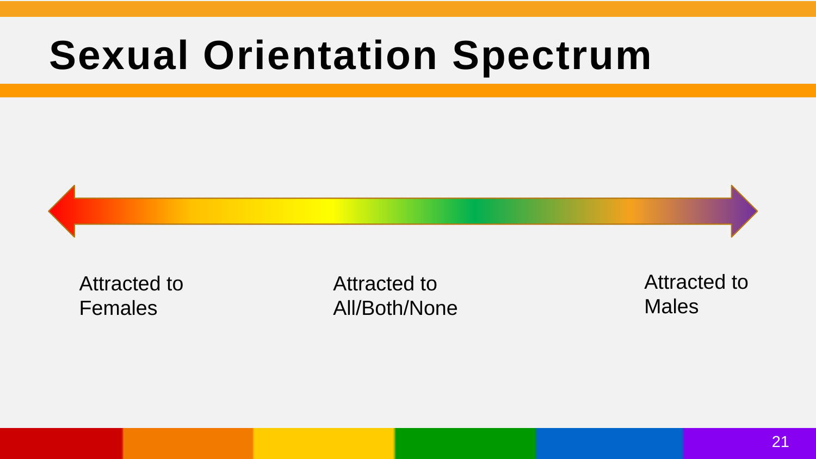#### **Sexual Orientation Spectrum**



Attracted to Females

Attracted to All/Both/None Attracted to Males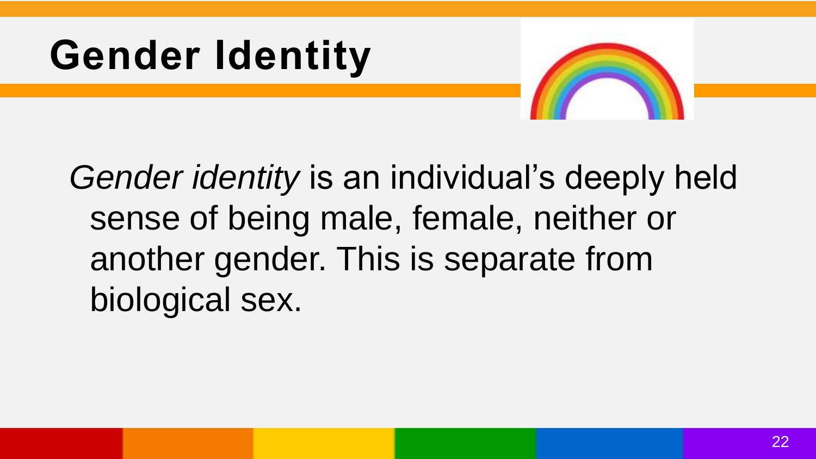



*Gender identity* is an individual's deeply held sense of being male, female, neither or another gender. This is separate from biological sex.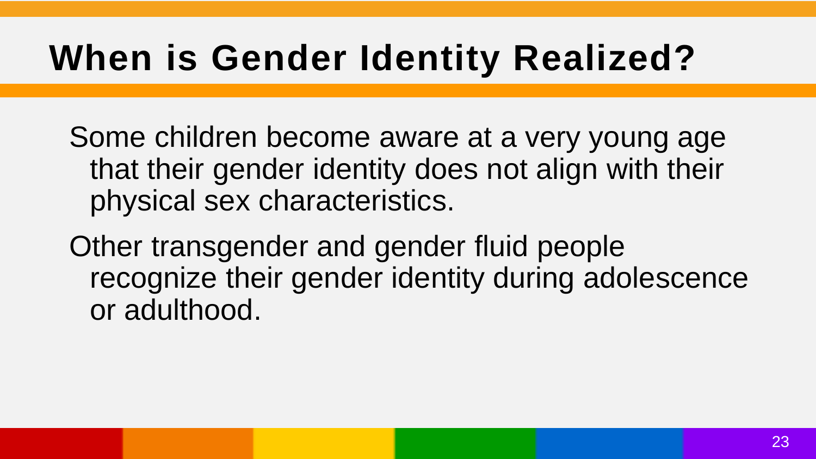#### **When is Gender Identity Realized?**

Some children become aware at a very young age that their gender identity does not align with their physical sex characteristics.

Other transgender and gender fluid people recognize their gender identity during adolescence or adulthood.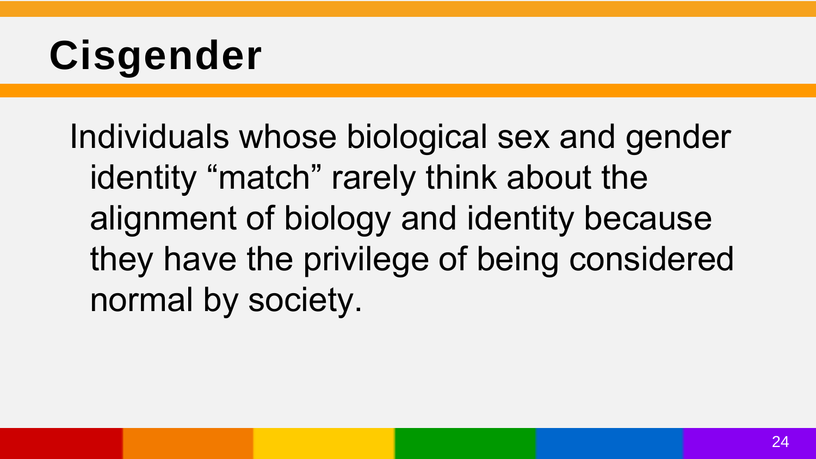## **Cisgender**

Individuals whose biological sex and gender identity "match" rarely think about the alignment of biology and identity because they have the privilege of being considered normal by society.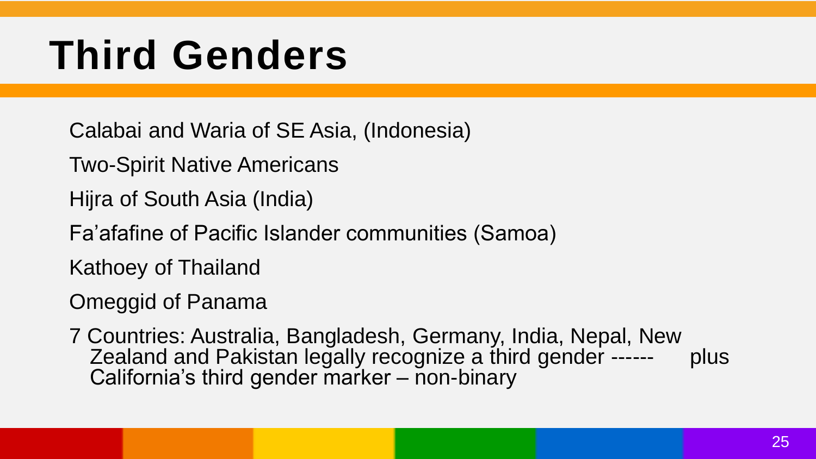#### **Third Genders**

Calabai and Waria of SE Asia, (Indonesia)

Two-Spirit Native Americans

Hijra of South Asia (India)

Fa'afafine of Pacific Islander communities (Samoa)

Kathoey of Thailand

Omeggid of Panama

7 Countries: Australia, Bangladesh, Germany, India, Nepal, New Zealand and Pakistan legally recognize a third gender ------ plus California's third gender marker – non-binary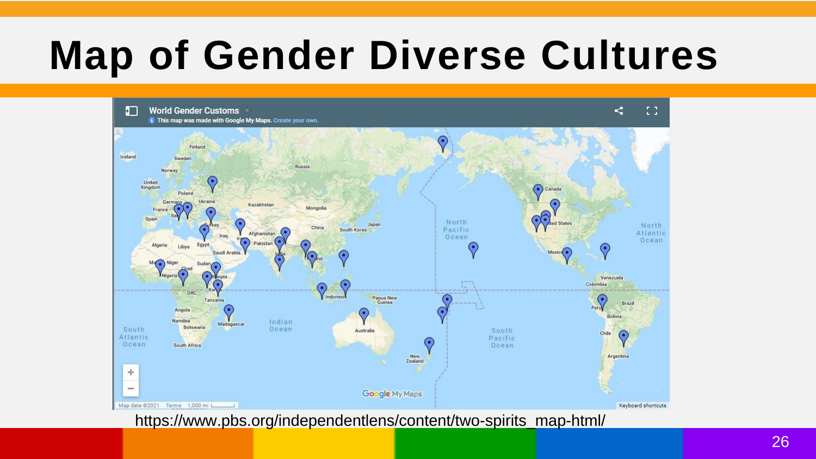#### **Map of Gender Diverse Cultures**



https://www.pbs.org/independentlens/content/two-spirits\_map-html/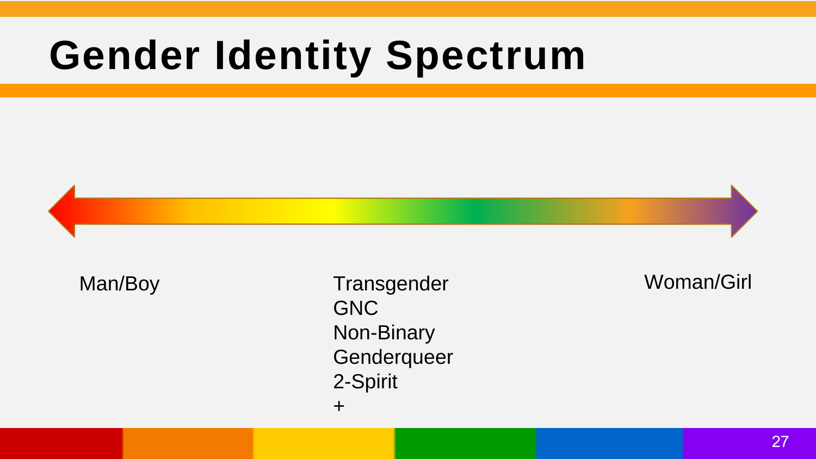#### **Gender Identity Spectrum**

Man/Boy Transgender Woman/Girl GNC Non-Binary **Genderqueer** 2-Spirit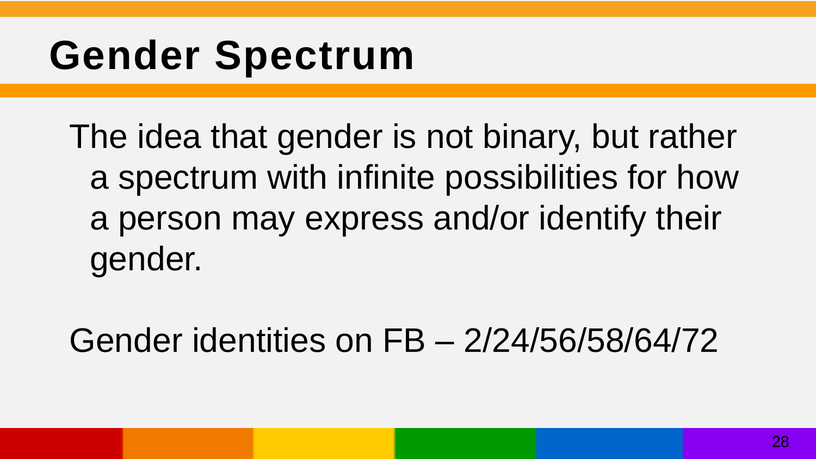#### **Gender Spectrum**

The idea that gender is not binary, but rather a spectrum with infinite possibilities for how a person may express and/or identify their gender.

Gender identities on FB – 2/24/56/58/64/72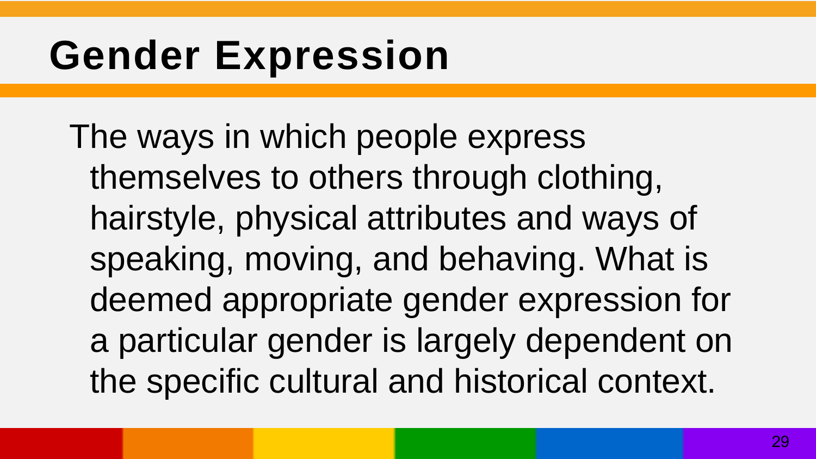#### **Gender Expression**

The ways in which people express themselves to others through clothing, hairstyle, physical attributes and ways of speaking, moving, and behaving. What is deemed appropriate gender expression for a particular gender is largely dependent on the specific cultural and historical context.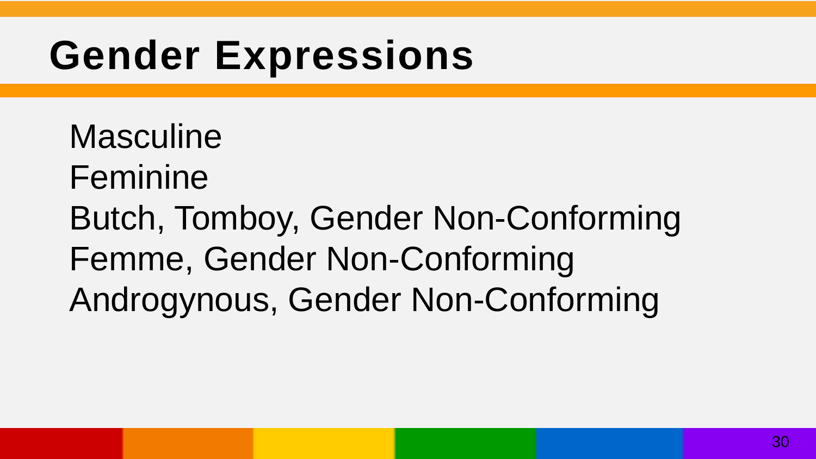#### **Gender Expressions**

Masculine Feminine Butch, Tomboy, Gender Non-Conforming Femme, Gender Non-Conforming Androgynous, Gender Non-Conforming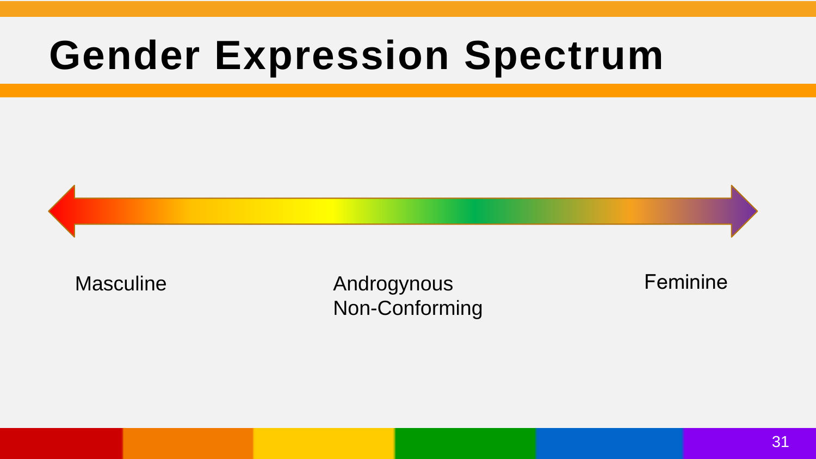#### **Gender Expression Spectrum**



Masculine **Androgynous Feminine** Non-Conforming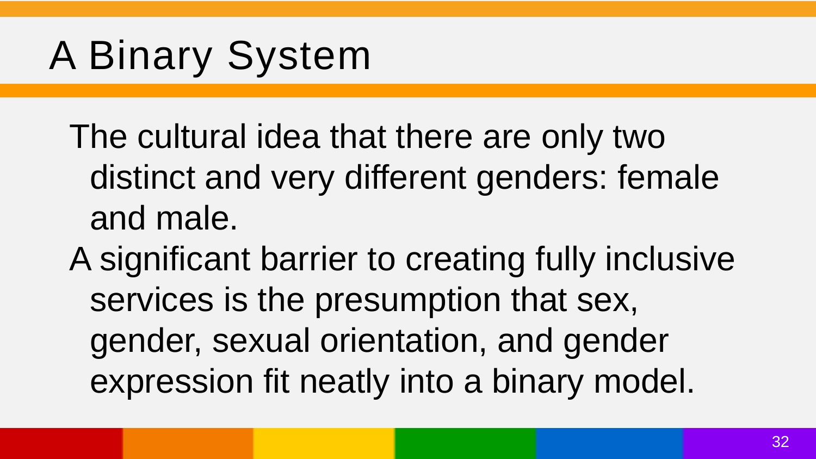#### A Binary System

The cultural idea that there are only two distinct and very different genders: female and male.

A significant barrier to creating fully inclusive services is the presumption that sex, gender, sexual orientation, and gender expression fit neatly into a binary model.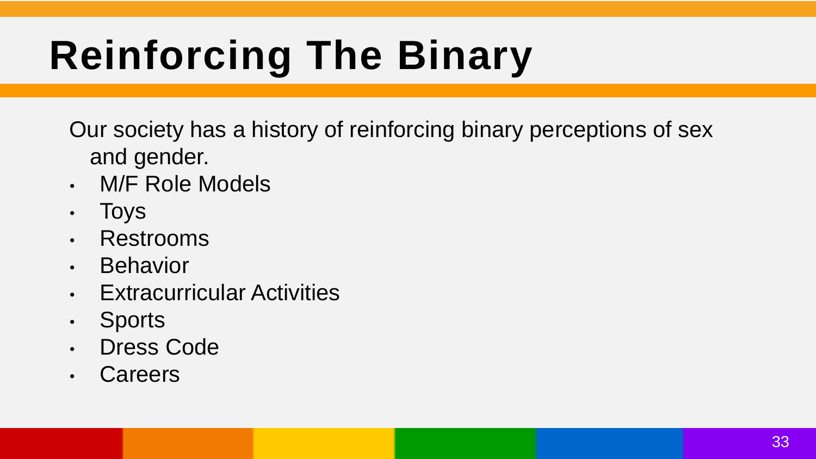## **Reinforcing The Binary**

Our society has a history of reinforcing binary perceptions of sex and gender.

- M/F Role Models
- Toys
- Restrooms
- Behavior
- Extracurricular Activities
- Sports
- Dress Code
- Careers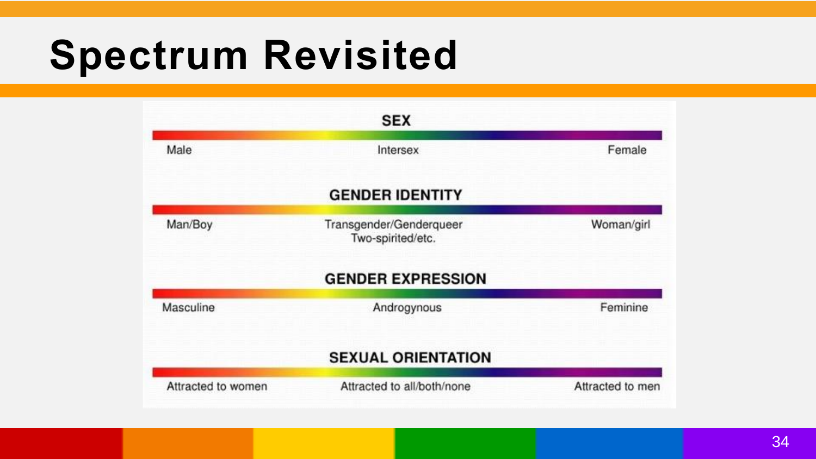#### **Spectrum Revisited**

|                    | <b>SEX</b>                                   |                  |
|--------------------|----------------------------------------------|------------------|
| Male               | Intersex                                     | Female           |
|                    | <b>GENDER IDENTITY</b>                       |                  |
| Man/Boy            | Transgender/Genderqueer<br>Two-spirited/etc. | Woman/girl       |
|                    | <b>GENDER EXPRESSION</b>                     |                  |
| Masculine          | Androgynous                                  | Feminine         |
|                    | <b>SEXUAL ORIENTATION</b>                    |                  |
| Attracted to women | Attracted to all/both/none                   | Attracted to men |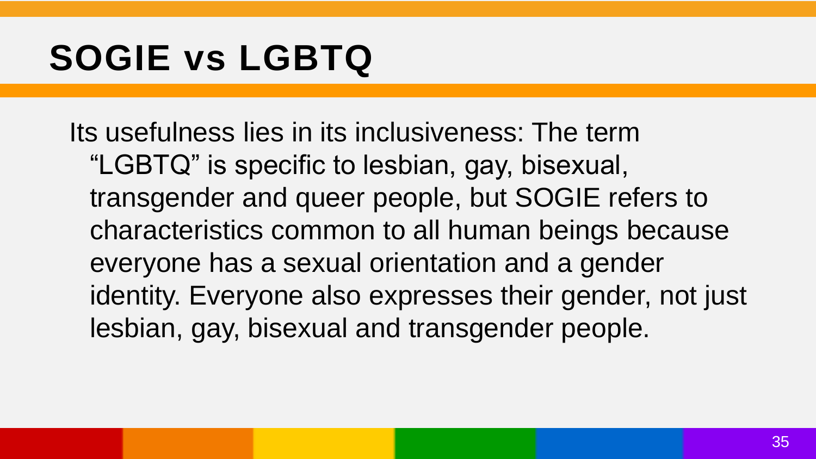#### **SOGIE vs LGBTQ**

Its usefulness lies in its inclusiveness: The term "LGBTQ" is specific to lesbian, gay, bisexual, transgender and queer people, but SOGIE refers to characteristics common to all human beings because everyone has a sexual orientation and a gender identity. Everyone also expresses their gender, not just lesbian, gay, bisexual and transgender people.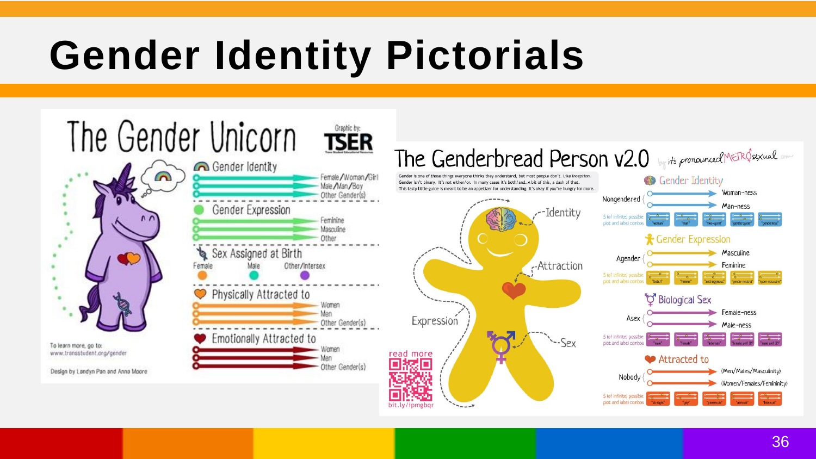#### **Gender Identity Pictorials**

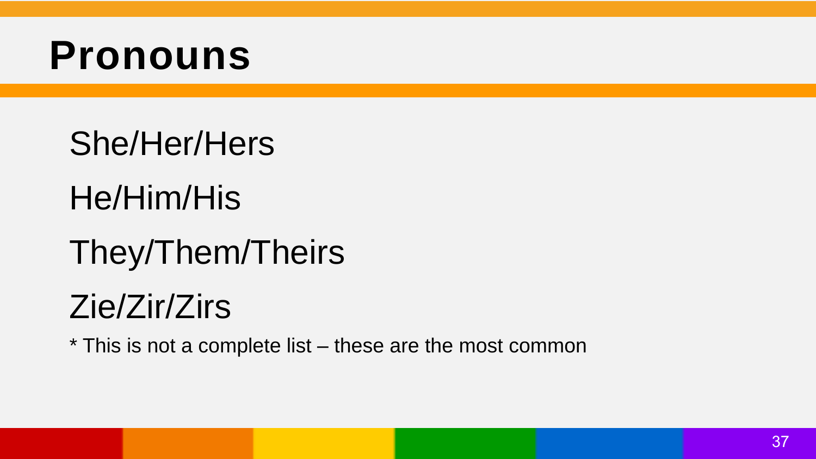#### **Pronouns**

- She/Her/Hers
- He/Him/His
- They/Them/Theirs

#### Zie/Zir/Zirs

\* This is not a complete list – these are the most common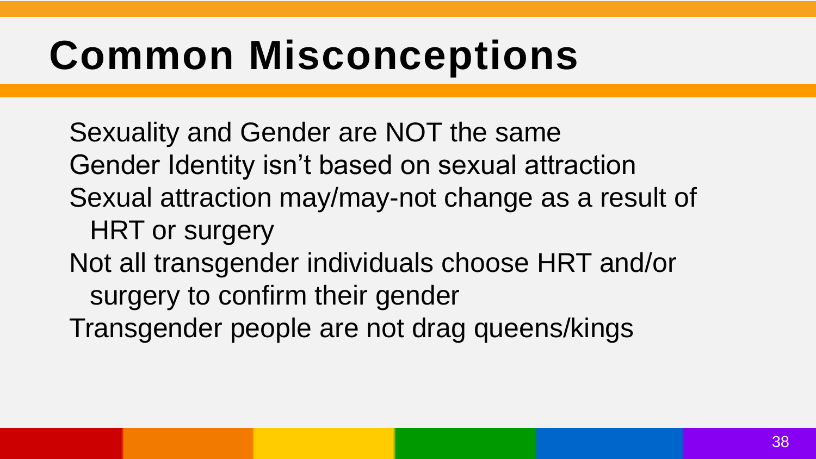#### **Common Misconceptions**

Sexuality and Gender are NOT the same Gender Identity isn't based on sexual attraction Sexual attraction may/may-not change as a result of HRT or surgery Not all transgender individuals choose HRT and/or surgery to confirm their gender Transgender people are not drag queens/kings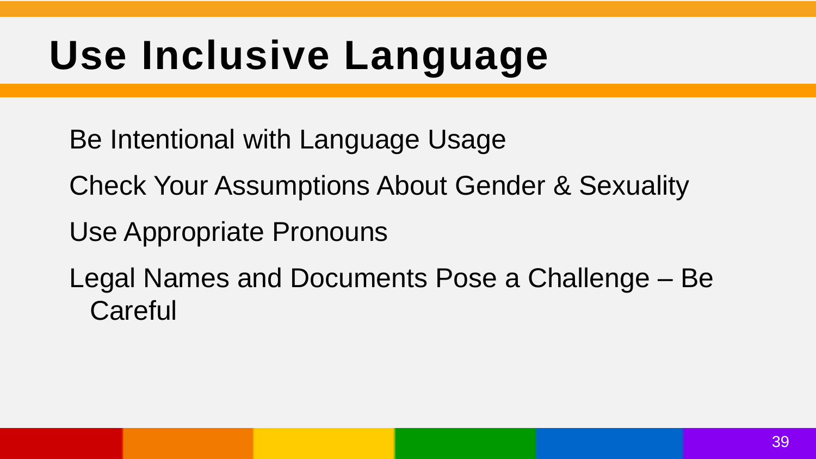#### **Use Inclusive Language**

Be Intentional with Language Usage

Check Your Assumptions About Gender & Sexuality

Use Appropriate Pronouns

Legal Names and Documents Pose a Challenge – Be **Careful**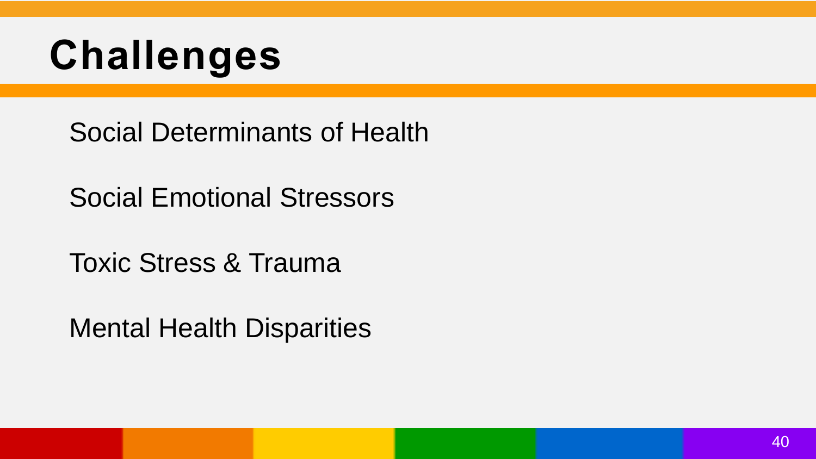### **Challenges**

Social Determinants of Health

Social Emotional Stressors

Toxic Stress & Trauma

Mental Health Disparities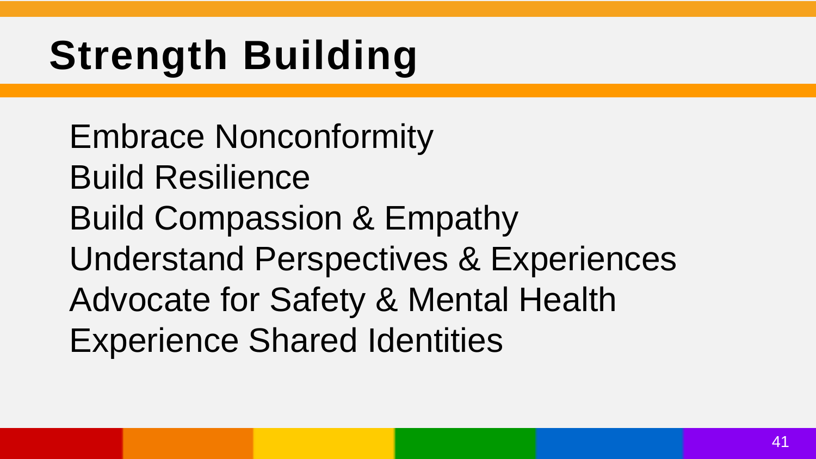## **Strength Building**

Embrace Nonconformity Build Resilience Build Compassion & Empathy Understand Perspectives & Experiences Advocate for Safety & Mental Health Experience Shared Identities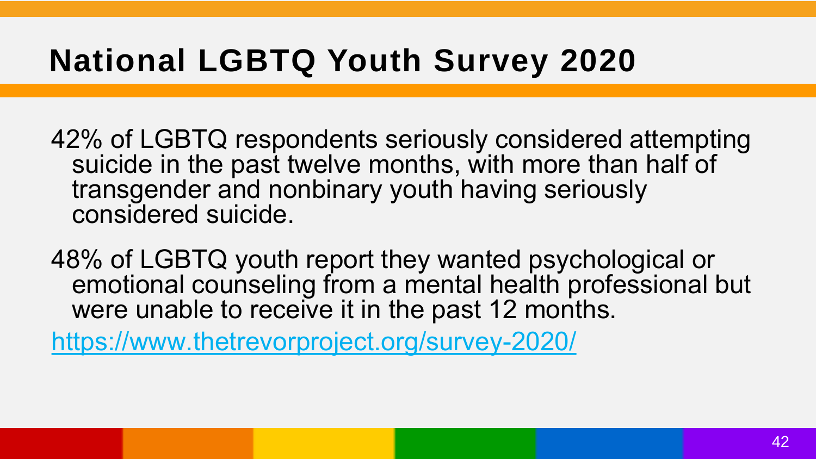#### **National LGBTQ Youth Survey 2020**

42% of LGBTQ respondents seriously considered attempting suicide in the past twelve months, with more than half of transgender and nonbinary youth having seriously considered suicide.

48% of LGBTQ youth report they wanted psychological or emotional counseling from a mental health professional but were unable to receive it in the past 12 months.

<https://www.thetrevorproject.org/survey-2020/>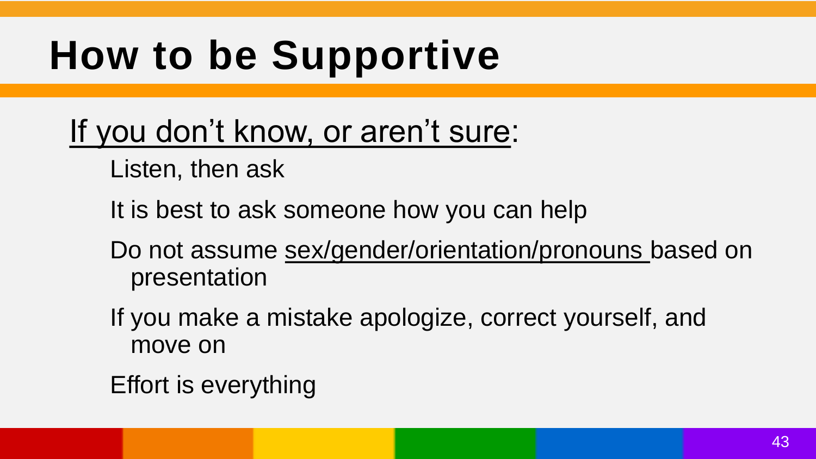## **How to be Supportive**

- If you don't know, or aren't sure:
	- Listen, then ask
	- It is best to ask someone how you can help
	- Do not assume sex/gender/orientation/pronouns based on presentation
	- If you make a mistake apologize, correct yourself, and move on
	- Effort is everything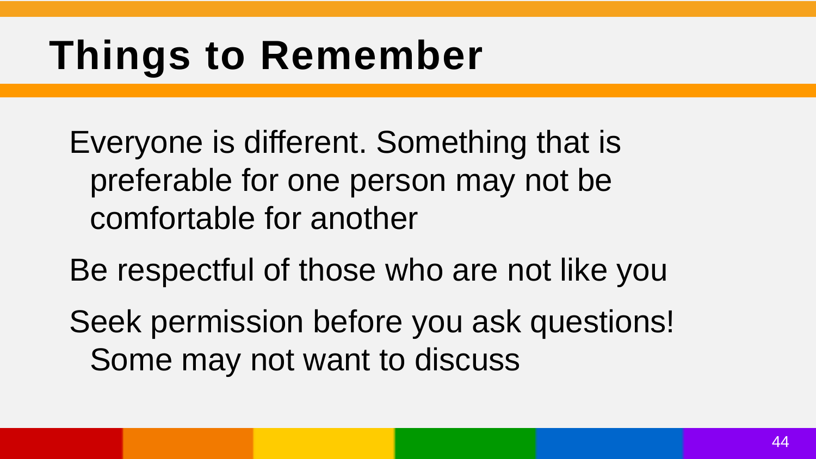#### **Things to Remember**

Everyone is different. Something that is preferable for one person may not be comfortable for another

Be respectful of those who are not like you

Seek permission before you ask questions! Some may not want to discuss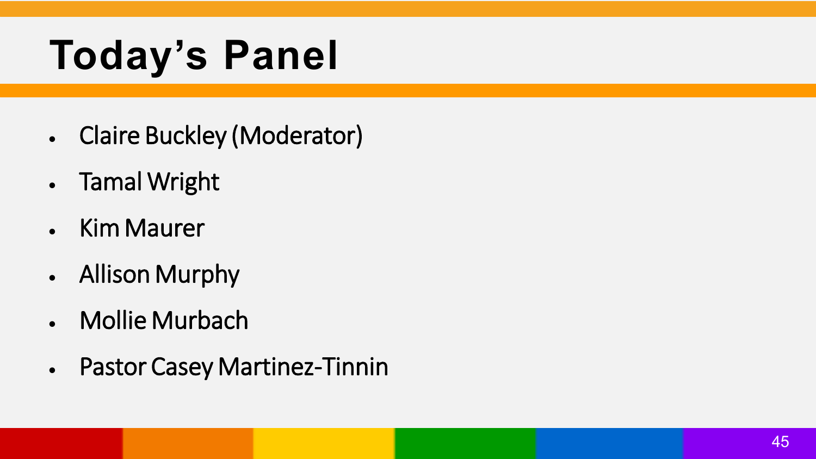## **Today's Panel**

- Claire Buckley (Moderator)
- Tamal Wright
- Kim Maurer
- Allison Murphy
- Mollie Murbach
- Pastor Casey Martinez-Tinnin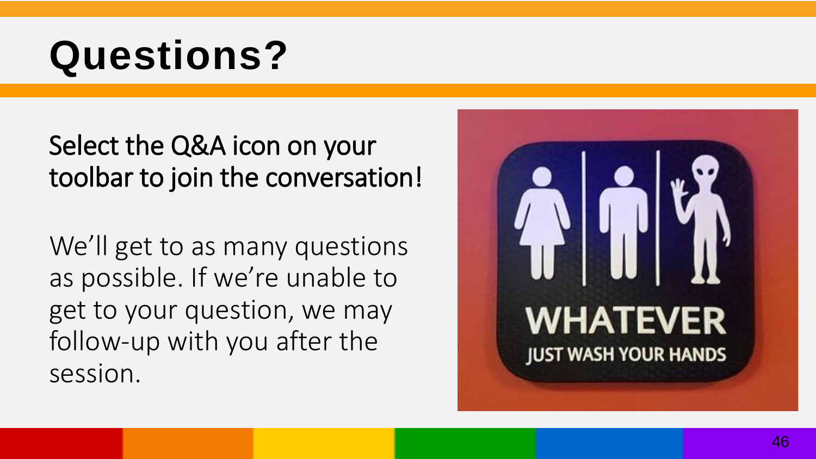#### **Questions?**

#### Select the Q&A icon on your toolbar to join the conversation!

We'll get to as many questions as possible. If we're unable to get to your question, we may follow -up with you after the session.

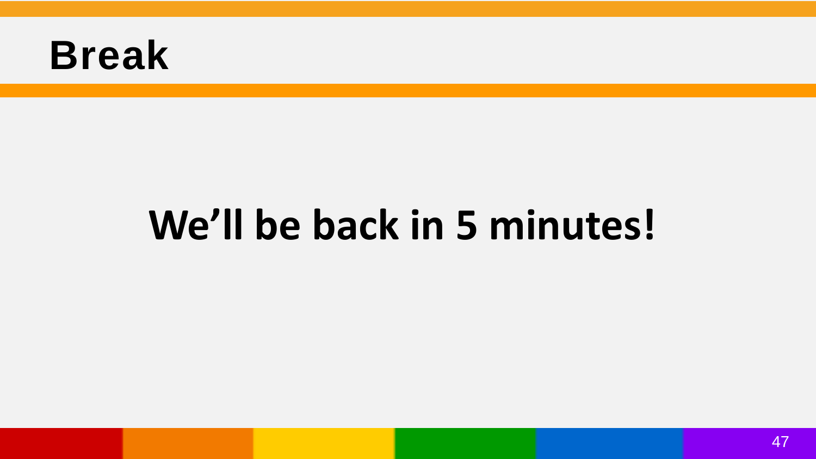#### **Break**

#### **We'll be back in 5 minutes!**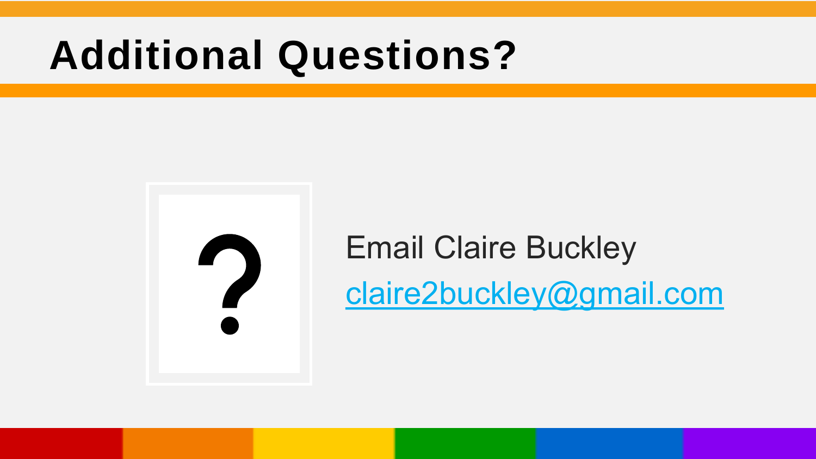#### **Additional Questions?**

Email Claire Buckley [claire2buckley@gmail.com](mailto:claire2buckley@gmail.com)